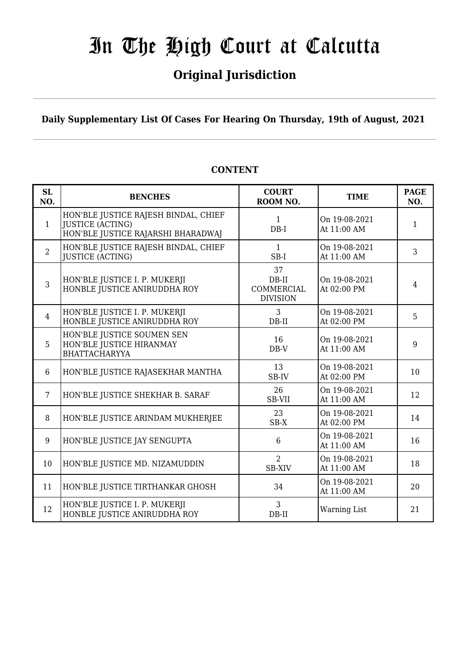## **Original Jurisdiction**

**Daily Supplementary List Of Cases For Hearing On Thursday, 19th of August, 2021**

| SL<br>NO.      | <b>BENCHES</b>                                                                                        | <b>COURT</b><br>ROOM NO.                              | <b>TIME</b>                  | <b>PAGE</b><br>NO. |
|----------------|-------------------------------------------------------------------------------------------------------|-------------------------------------------------------|------------------------------|--------------------|
| $\mathbf{1}$   | HON'BLE JUSTICE RAJESH BINDAL, CHIEF<br><b>JUSTICE (ACTING)</b><br>HON'BLE JUSTICE RAJARSHI BHARADWAJ | $\mathbf{1}$<br>$DB-I$                                | On 19-08-2021<br>At 11:00 AM | $\mathbf{1}$       |
| $\overline{2}$ | HON'BLE JUSTICE RAJESH BINDAL, CHIEF<br><b>JUSTICE (ACTING)</b>                                       | 1<br>SB-I                                             | On 19-08-2021<br>At 11:00 AM | 3                  |
| $\overline{3}$ | HON'BLE JUSTICE I. P. MUKERJI<br>HONBLE JUSTICE ANIRUDDHA ROY                                         | 37<br>$DB-II$<br><b>COMMERCIAL</b><br><b>DIVISION</b> | On 19-08-2021<br>At 02:00 PM | $\overline{4}$     |
| $\overline{4}$ | HON'BLE JUSTICE I. P. MUKERJI<br>HONBLE JUSTICE ANIRUDDHA ROY                                         | 3<br>DB-II                                            | On 19-08-2021<br>At 02:00 PM | 5                  |
| 5              | HON'BLE JUSTICE SOUMEN SEN<br>HON'BLE JUSTICE HIRANMAY<br><b>BHATTACHARYYA</b>                        | 16<br>$DB-V$                                          | On 19-08-2021<br>At 11:00 AM | 9                  |
| 6              | HON'BLE JUSTICE RAJASEKHAR MANTHA                                                                     | 13<br>SB-IV                                           | On 19-08-2021<br>At 02:00 PM | 10                 |
| $\overline{7}$ | HON'BLE JUSTICE SHEKHAR B. SARAF                                                                      | 26<br>SB-VII                                          | On 19-08-2021<br>At 11:00 AM | 12                 |
| 8              | HON'BLE JUSTICE ARINDAM MUKHERJEE                                                                     | 23<br>SB-X                                            | On 19-08-2021<br>At 02:00 PM | 14                 |
| 9              | HON'BLE JUSTICE JAY SENGUPTA                                                                          | 6                                                     | On 19-08-2021<br>At 11:00 AM | 16                 |
| 10             | HON'BLE JUSTICE MD. NIZAMUDDIN                                                                        | $\overline{2}$<br><b>SB-XIV</b>                       | On 19-08-2021<br>At 11:00 AM | 18                 |
| 11             | HON'BLE JUSTICE TIRTHANKAR GHOSH                                                                      | 34                                                    | On 19-08-2021<br>At 11:00 AM | 20                 |
| 12             | HON'BLE JUSTICE I. P. MUKERJI<br>HONBLE JUSTICE ANIRUDDHA ROY                                         | 3<br>$DB-II$                                          | <b>Warning List</b>          | 21                 |

#### **CONTENT**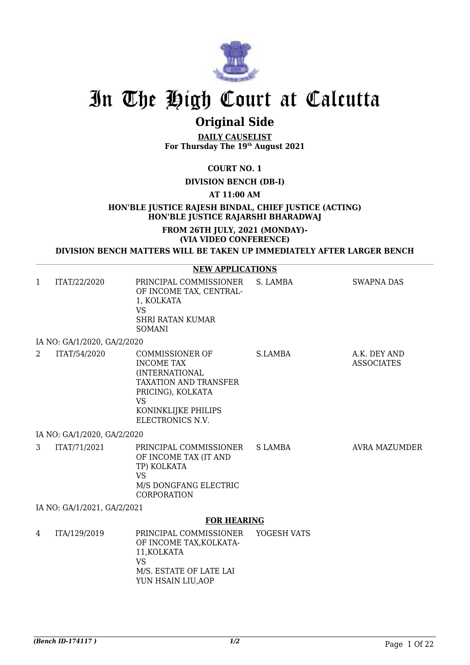

## **Original Side**

**DAILY CAUSELIST For Thursday The 19th August 2021**

#### **COURT NO. 1**

**DIVISION BENCH (DB-I)** 

**AT 11:00 AM**

**HON'BLE JUSTICE RAJESH BINDAL, CHIEF JUSTICE (ACTING) HON'BLE JUSTICE RAJARSHI BHARADWAJ**

#### **FROM 26TH JULY, 2021 (MONDAY)- (VIA VIDEO CONFERENCE)**

**DIVISION BENCH MATTERS WILL BE TAKEN UP IMMEDIATELY AFTER LARGER BENCH**

#### **NEW APPLICATIONS**

| $\mathbf{1}$ | ITAT/22/2020                | PRINCIPAL COMMISSIONER<br>OF INCOME TAX, CENTRAL-<br>1, KOLKATA<br><b>VS</b><br><b>SHRI RATAN KUMAR</b><br><b>SOMANI</b>                                            | S. LAMBA    | <b>SWAPNA DAS</b>                 |
|--------------|-----------------------------|---------------------------------------------------------------------------------------------------------------------------------------------------------------------|-------------|-----------------------------------|
|              | IA NO: GA/1/2020, GA/2/2020 |                                                                                                                                                                     |             |                                   |
| 2            | ITAT/54/2020                | COMMISSIONER OF<br><b>INCOME TAX</b><br>(INTERNATIONAL<br><b>TAXATION AND TRANSFER</b><br>PRICING), KOLKATA<br><b>VS</b><br>KONINKLIJKE PHILIPS<br>ELECTRONICS N.V. | S.LAMBA     | A.K. DEY AND<br><b>ASSOCIATES</b> |
|              | IA NO: GA/1/2020, GA/2/2020 |                                                                                                                                                                     |             |                                   |
| 3            | ITAT/71/2021                | PRINCIPAL COMMISSIONER<br>OF INCOME TAX (IT AND<br>TP) KOLKATA<br><b>VS</b><br>M/S DONGFANG ELECTRIC<br><b>CORPORATION</b>                                          | S LAMBA     | AVRA MAZUMDER                     |
|              | IA NO: GA/1/2021, GA/2/2021 |                                                                                                                                                                     |             |                                   |
|              |                             | <b>FOR HEARING</b>                                                                                                                                                  |             |                                   |
| 4            | ITA/129/2019                | PRINCIPAL COMMISSIONER<br>OF INCOME TAX, KOLKATA-<br>11, KOLKATA<br><b>VS</b><br>M/S. ESTATE OF LATE LAI                                                            | YOGESH VATS |                                   |

YUN HSAIN LIU,AOP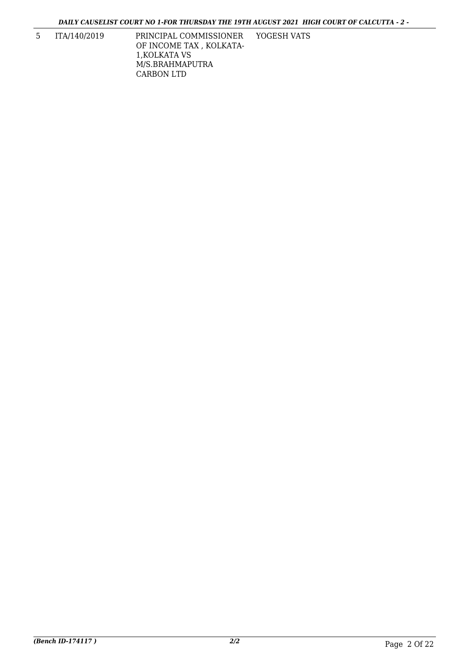YOGESH VATS

5 ITA/140/2019 PRINCIPAL COMMISSIONER OF INCOME TAX , KOLKATA-1,KOLKATA VS M/S.BRAHMAPUTRA CARBON LTD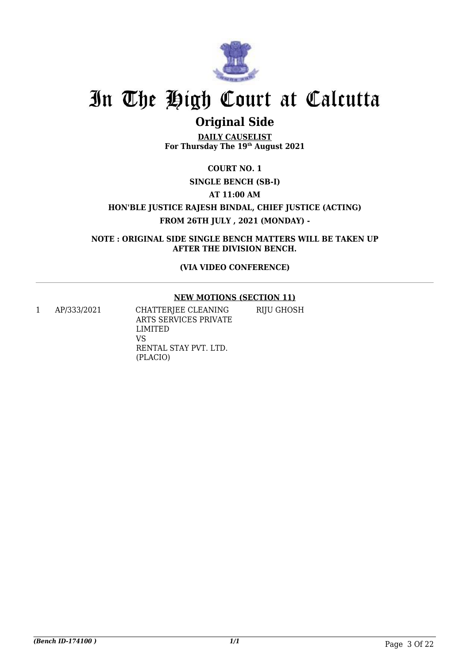

## **Original Side**

**DAILY CAUSELIST For Thursday The 19th August 2021**

#### **COURT NO. 1**

#### **SINGLE BENCH (SB-I)**

**AT 11:00 AM**

**HON'BLE JUSTICE RAJESH BINDAL, CHIEF JUSTICE (ACTING) FROM 26TH JULY , 2021 (MONDAY) -**

**NOTE : ORIGINAL SIDE SINGLE BENCH MATTERS WILL BE TAKEN UP AFTER THE DIVISION BENCH.**

**(VIA VIDEO CONFERENCE)**

#### **NEW MOTIONS (SECTION 11)**

1 AP/333/2021 CHATTERJEE CLEANING ARTS SERVICES PRIVATE LIMITED VS RENTAL STAY PVT. LTD. (PLACIO) RIJU GHOSH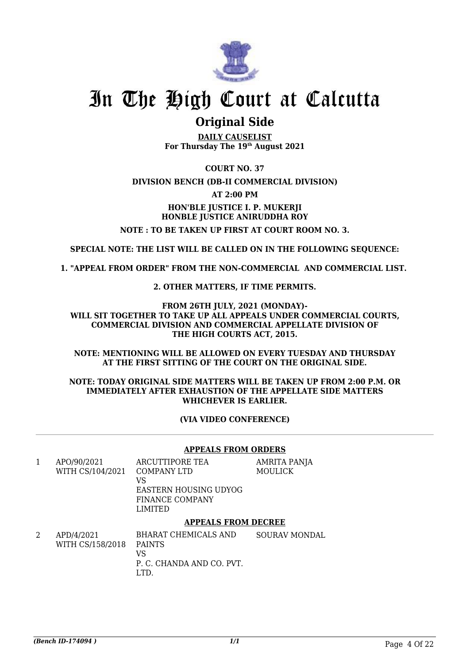

### **Original Side**

**DAILY CAUSELIST For Thursday The 19th August 2021**

**COURT NO. 37 DIVISION BENCH (DB-II COMMERCIAL DIVISION) AT 2:00 PM HON'BLE JUSTICE I. P. MUKERJI HONBLE JUSTICE ANIRUDDHA ROY NOTE : TO BE TAKEN UP FIRST AT COURT ROOM NO. 3.**

**SPECIAL NOTE: THE LIST WILL BE CALLED ON IN THE FOLLOWING SEQUENCE:**

**1. "APPEAL FROM ORDER" FROM THE NON-COMMERCIAL AND COMMERCIAL LIST.**

**2. OTHER MATTERS, IF TIME PERMITS.**

**FROM 26TH JULY, 2021 (MONDAY)- WILL SIT TOGETHER TO TAKE UP ALL APPEALS UNDER COMMERCIAL COURTS, COMMERCIAL DIVISION AND COMMERCIAL APPELLATE DIVISION OF THE HIGH COURTS ACT, 2015.**

**NOTE: MENTIONING WILL BE ALLOWED ON EVERY TUESDAY AND THURSDAY AT THE FIRST SITTING OF THE COURT ON THE ORIGINAL SIDE.**

#### **NOTE: TODAY ORIGINAL SIDE MATTERS WILL BE TAKEN UP FROM 2:00 P.M. OR IMMEDIATELY AFTER EXHAUSTION OF THE APPELLATE SIDE MATTERS WHICHEVER IS EARLIER.**

**(VIA VIDEO CONFERENCE)**

#### **APPEALS FROM ORDERS**

| 1 | APO/90/2021      | ARCUTTIPORE TEA            | AMRITA PANJA         |
|---|------------------|----------------------------|----------------------|
|   | WITH CS/104/2021 | <b>COMPANY LTD</b>         | MOULICK              |
|   |                  | VS                         |                      |
|   |                  | EASTERN HOUSING UDYOG      |                      |
|   |                  | <b>FINANCE COMPANY</b>     |                      |
|   |                  | LIMITED                    |                      |
|   |                  | <b>APPEALS FROM DECREE</b> |                      |
| 2 | APD/4/2021       | BHARAT CHEMICALS AND       | <b>SOURAV MONDAL</b> |
|   | WITH CS/158/2018 | <b>PAINTS</b>              |                      |
|   |                  | VS                         |                      |

VS P. C. CHANDA AND CO. PVT. LTD.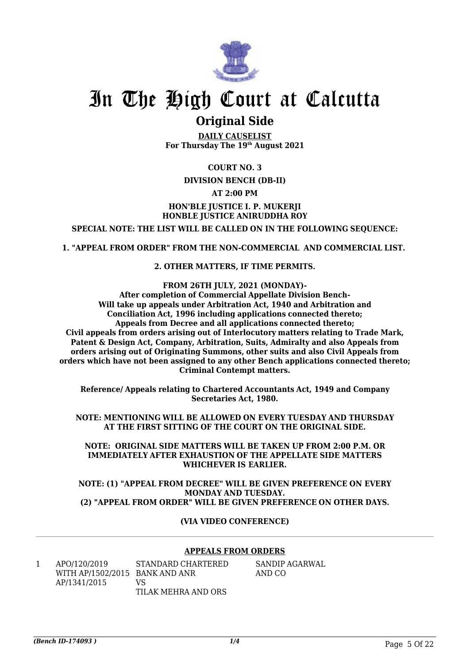

### **Original Side**

**DAILY CAUSELIST For Thursday The 19th August 2021**

#### **COURT NO. 3**

#### **DIVISION BENCH (DB-II)**

#### **AT 2:00 PM**

#### **HON'BLE JUSTICE I. P. MUKERJI HONBLE JUSTICE ANIRUDDHA ROY**

**SPECIAL NOTE: THE LIST WILL BE CALLED ON IN THE FOLLOWING SEQUENCE:**

**1. "APPEAL FROM ORDER" FROM THE NON-COMMERCIAL AND COMMERCIAL LIST.**

#### **2. OTHER MATTERS, IF TIME PERMITS.**

**FROM 26TH JULY, 2021 (MONDAY)-**

**After completion of Commercial Appellate Division Bench-Will take up appeals under Arbitration Act, 1940 and Arbitration and Conciliation Act, 1996 including applications connected thereto; Appeals from Decree and all applications connected thereto; Civil appeals from orders arising out of Interlocutory matters relating to Trade Mark, Patent & Design Act, Company, Arbitration, Suits, Admiralty and also Appeals from orders arising out of Originating Summons, other suits and also Civil Appeals from orders which have not been assigned to any other Bench applications connected thereto; Criminal Contempt matters.**

**Reference/ Appeals relating to Chartered Accountants Act, 1949 and Company Secretaries Act, 1980.**

**NOTE: MENTIONING WILL BE ALLOWED ON EVERY TUESDAY AND THURSDAY AT THE FIRST SITTING OF THE COURT ON THE ORIGINAL SIDE.**

**NOTE: ORIGINAL SIDE MATTERS WILL BE TAKEN UP FROM 2:00 P.M. OR IMMEDIATELY AFTER EXHAUSTION OF THE APPELLATE SIDE MATTERS WHICHEVER IS EARLIER.**

**NOTE: (1) "APPEAL FROM DECREE" WILL BE GIVEN PREFERENCE ON EVERY MONDAY AND TUESDAY. (2) "APPEAL FROM ORDER" WILL BE GIVEN PREFERENCE ON OTHER DAYS.**

#### **(VIA VIDEO CONFERENCE)**

#### **APPEALS FROM ORDERS**

| APO/120/2019                   | STANDARD CHARTERED  | SANDIP AGARWAL |
|--------------------------------|---------------------|----------------|
| WITH AP/1502/2015 BANK AND ANR |                     | AND CO         |
| AP/1341/2015                   | VS.                 |                |
|                                | TILAK MEHRA AND ORS |                |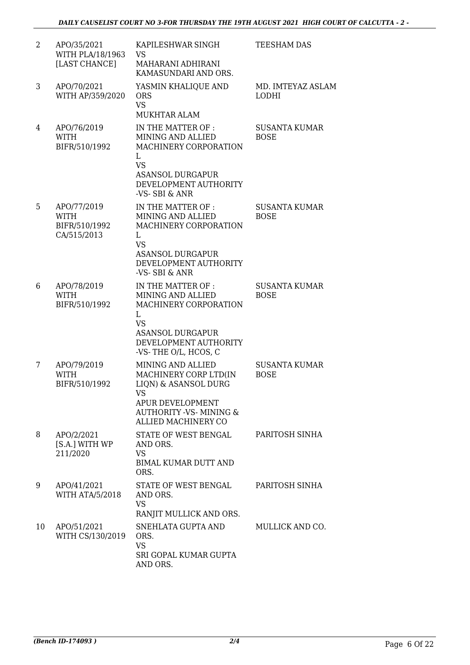| $\overline{2}$ | APO/35/2021<br>WITH PLA/18/1963<br>[LAST CHANCE]           | KAPILESHWAR SINGH<br>VS<br>MAHARANI ADHIRANI<br>KAMASUNDARI AND ORS.                                                                                           | <b>TEESHAM DAS</b>                  |
|----------------|------------------------------------------------------------|----------------------------------------------------------------------------------------------------------------------------------------------------------------|-------------------------------------|
| 3              | APO/70/2021<br>WITH AP/359/2020                            | YASMIN KHALIQUE AND<br><b>ORS</b><br><b>VS</b><br><b>MUKHTAR ALAM</b>                                                                                          | MD. IMTEYAZ ASLAM<br><b>LODHI</b>   |
| 4              | APO/76/2019<br><b>WITH</b><br>BIFR/510/1992                | IN THE MATTER OF :<br>MINING AND ALLIED<br>MACHINERY CORPORATION<br>L<br><b>VS</b><br><b>ASANSOL DURGAPUR</b><br>DEVELOPMENT AUTHORITY<br>-VS-SBI & ANR        | <b>SUSANTA KUMAR</b><br><b>BOSE</b> |
| 5              | APO/77/2019<br><b>WITH</b><br>BIFR/510/1992<br>CA/515/2013 | IN THE MATTER OF :<br>MINING AND ALLIED<br>MACHINERY CORPORATION<br>L<br><b>VS</b><br><b>ASANSOL DURGAPUR</b><br>DEVELOPMENT AUTHORITY<br>-VS-SBI & ANR        | <b>SUSANTA KUMAR</b><br><b>BOSE</b> |
| 6              | APO/78/2019<br><b>WITH</b><br>BIFR/510/1992                | IN THE MATTER OF :<br>MINING AND ALLIED<br>MACHINERY CORPORATION<br>L<br><b>VS</b><br><b>ASANSOL DURGAPUR</b><br>DEVELOPMENT AUTHORITY<br>-VS-THE O/L, HCOS, C | <b>SUSANTA KUMAR</b><br><b>BOSE</b> |
| 7              | APO/79/2019<br><b>WITH</b><br>BIFR/510/1992                | MINING AND ALLIED<br>MACHINERY CORP LTD(IN<br>LIQN) & ASANSOL DURG<br>VS<br>APUR DEVELOPMENT<br><b>AUTHORITY -VS- MINING &amp;</b><br>ALLIED MACHINERY CO      | <b>SUSANTA KUMAR</b><br><b>BOSE</b> |
| 8              | APO/2/2021<br>[S.A.] WITH WP<br>211/2020                   | STATE OF WEST BENGAL<br>AND ORS.<br><b>VS</b><br><b>BIMAL KUMAR DUTT AND</b><br>ORS.                                                                           | PARITOSH SINHA                      |
| 9              | APO/41/2021<br><b>WITH ATA/5/2018</b>                      | STATE OF WEST BENGAL<br>AND ORS.<br><b>VS</b><br>RANJIT MULLICK AND ORS.                                                                                       | PARITOSH SINHA                      |
| 10             | APO/51/2021<br>WITH CS/130/2019                            | SNEHLATA GUPTA AND<br>ORS.<br><b>VS</b><br>SRI GOPAL KUMAR GUPTA<br>AND ORS.                                                                                   | MULLICK AND CO.                     |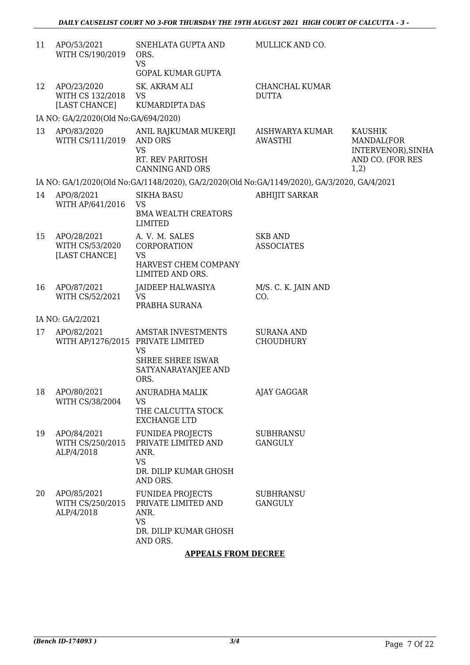| 11 | APO/53/2021<br>WITH CS/190/2019                  | SNEHLATA GUPTA AND<br>ORS.<br><b>VS</b><br><b>GOPAL KUMAR GUPTA</b>                                      | MULLICK AND CO.                       |                                                                                |
|----|--------------------------------------------------|----------------------------------------------------------------------------------------------------------|---------------------------------------|--------------------------------------------------------------------------------|
| 12 | APO/23/2020<br>WITH CS 132/2018<br>[LAST CHANCE] | <b>SK. AKRAM ALI</b><br><b>VS</b><br>KUMARDIPTA DAS                                                      | CHANCHAL KUMAR<br><b>DUTTA</b>        |                                                                                |
|    | IA NO: GA/2/2020(Old No:GA/694/2020)             |                                                                                                          |                                       |                                                                                |
| 13 | APO/83/2020<br>WITH CS/111/2019                  | ANIL RAJKUMAR MUKERJI<br><b>AND ORS</b><br><b>VS</b><br>RT. REV PARITOSH<br><b>CANNING AND ORS</b>       | AISHWARYA KUMAR<br><b>AWASTHI</b>     | <b>KAUSHIK</b><br>MANDAL(FOR<br>INTERVENOR), SINHA<br>AND CO. (FOR RES<br>1,2) |
|    |                                                  | IA NO: GA/1/2020(Old No:GA/1148/2020), GA/2/2020(Old No:GA/1149/2020), GA/3/2020, GA/4/2021              |                                       |                                                                                |
| 14 | APO/8/2021<br>WITH AP/641/2016                   | <b>SIKHA BASU</b><br><b>VS</b><br><b>BMA WEALTH CREATORS</b><br><b>LIMITED</b>                           | <b>ABHIJIT SARKAR</b>                 |                                                                                |
| 15 | APO/28/2021<br>WITH CS/53/2020<br>[LAST CHANCE]  | A. V. M. SALES<br><b>CORPORATION</b><br>VS<br>HARVEST CHEM COMPANY<br>LIMITED AND ORS.                   | <b>SKB AND</b><br><b>ASSOCIATES</b>   |                                                                                |
| 16 | APO/87/2021<br>WITH CS/52/2021                   | JAIDEEP HALWASIYA<br><b>VS</b><br>PRABHA SURANA                                                          | M/S. C. K. JAIN AND<br>CO.            |                                                                                |
|    | IA NO: GA/2/2021                                 |                                                                                                          |                                       |                                                                                |
| 17 | APO/82/2021<br>WITH AP/1276/2015 PRIVATE LIMITED | <b>AMSTAR INVESTMENTS</b><br><b>VS</b><br><b>SHREE SHREE ISWAR</b><br>SATYANARAYANJEE AND<br>ORS.        | <b>SURANA AND</b><br><b>CHOUDHURY</b> |                                                                                |
| 18 | APO/80/2021<br>WITH CS/38/2004                   | ANURADHA MALIK<br>VS<br>THE CALCUTTA STOCK<br><b>EXCHANGE LTD</b>                                        | AJAY GAGGAR                           |                                                                                |
| 19 | APO/84/2021<br>WITH CS/250/2015<br>ALP/4/2018    | <b>FUNIDEA PROJECTS</b><br>PRIVATE LIMITED AND<br>ANR.<br><b>VS</b><br>DR. DILIP KUMAR GHOSH<br>AND ORS. | <b>SUBHRANSU</b><br><b>GANGULY</b>    |                                                                                |
| 20 | APO/85/2021<br>WITH CS/250/2015<br>ALP/4/2018    | <b>FUNIDEA PROJECTS</b><br>PRIVATE LIMITED AND<br>ANR.<br><b>VS</b><br>DR. DILIP KUMAR GHOSH<br>AND ORS. | <b>SUBHRANSU</b><br><b>GANGULY</b>    |                                                                                |

#### **APPEALS FROM DECREE**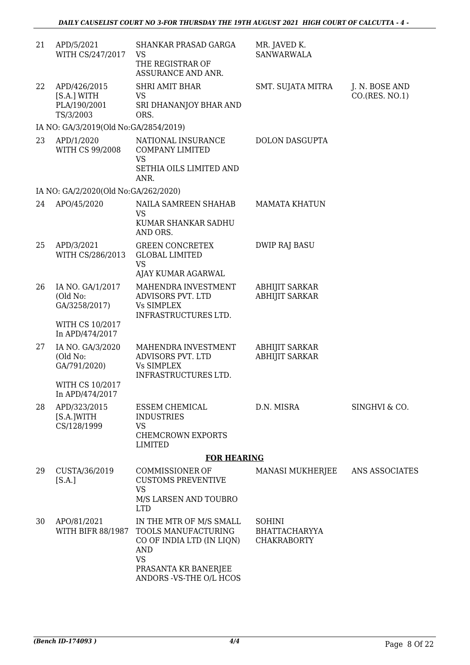| 21 | APD/5/2021<br>WITH CS/247/2017                           | SHANKAR PRASAD GARGA<br><b>VS</b><br>THE REGISTRAR OF<br>ASSURANCE AND ANR.                                                    | MR. JAVED K.<br><b>SANWARWALA</b>                    |                                  |
|----|----------------------------------------------------------|--------------------------------------------------------------------------------------------------------------------------------|------------------------------------------------------|----------------------------------|
| 22 | APD/426/2015<br>[S.A.] WITH<br>PLA/190/2001<br>TS/3/2003 | <b>SHRI AMIT BHAR</b><br><b>VS</b><br>SRI DHANANJOY BHAR AND<br>ORS.                                                           | SMT. SUJATA MITRA                                    | J. N. BOSE AND<br>CO.(RES. NO.1) |
|    | IA NO: GA/3/2019(Old No: GA/2854/2019)                   |                                                                                                                                |                                                      |                                  |
| 23 | APD/1/2020<br>WITH CS 99/2008                            | NATIONAL INSURANCE<br><b>COMPANY LIMITED</b><br><b>VS</b><br>SETHIA OILS LIMITED AND<br>ANR.                                   | <b>DOLON DASGUPTA</b>                                |                                  |
|    | IA NO: GA/2/2020(Old No:GA/262/2020)                     |                                                                                                                                |                                                      |                                  |
| 24 | APO/45/2020                                              | NAILA SAMREEN SHAHAB<br>VS<br>KUMAR SHANKAR SADHU<br>AND ORS.                                                                  | <b>MAMATA KHATUN</b>                                 |                                  |
| 25 | APD/3/2021<br>WITH CS/286/2013                           | <b>GREEN CONCRETEX</b><br><b>GLOBAL LIMITED</b><br><b>VS</b>                                                                   | <b>DWIP RAJ BASU</b>                                 |                                  |
| 26 | IA NO. GA/1/2017<br>(Old No:<br>GA/3258/2017)            | AJAY KUMAR AGARWAL<br>MAHENDRA INVESTMENT<br>ADVISORS PVT. LTD<br><b>Vs SIMPLEX</b><br>INFRASTRUCTURES LTD.                    | <b>ABHIJIT SARKAR</b><br><b>ABHIJIT SARKAR</b>       |                                  |
|    | WITH CS 10/2017<br>In APD/474/2017                       |                                                                                                                                |                                                      |                                  |
| 27 | IA NO. GA/3/2020<br>(Old No:<br>GA/791/2020)             | MAHENDRA INVESTMENT<br>ADVISORS PVT. LTD<br><b>Vs SIMPLEX</b><br>INFRASTRUCTURES LTD.                                          | <b>ABHIJIT SARKAR</b><br><b>ABHIJIT SARKAR</b>       |                                  |
|    | WITH CS 10/2017<br>In APD/474/2017                       |                                                                                                                                |                                                      |                                  |
| 28 | APD/323/2015<br>[S.A.]WITH<br>CS/128/1999                | <b>ESSEM CHEMICAL</b><br><b>INDUSTRIES</b><br><b>VS</b><br><b>CHEMCROWN EXPORTS</b>                                            | D.N. MISRA                                           | SINGHVI & CO.                    |
|    |                                                          | <b>LIMITED</b>                                                                                                                 |                                                      |                                  |
| 29 |                                                          | <b>FOR HEARING</b>                                                                                                             |                                                      |                                  |
|    | CUSTA/36/2019<br>[S.A.]                                  | <b>COMMISSIONER OF</b><br><b>CUSTOMS PREVENTIVE</b><br><b>VS</b><br>M/S LARSEN AND TOUBRO<br><b>LTD</b>                        | MANASI MUKHERJEE                                     | <b>ANS ASSOCIATES</b>            |
| 30 | APO/81/2021<br>WITH BIFR 88/1987                         | IN THE MTR OF M/S SMALL<br>TOOLS MANUFACTURING<br>CO OF INDIA LTD (IN LIQN)<br><b>AND</b><br><b>VS</b><br>PRASANTA KR BANERJEE | <b>SOHINI</b><br>BHATTACHARYYA<br><b>CHAKRABORTY</b> |                                  |
|    |                                                          | ANDORS - VS-THE O/L HCOS                                                                                                       |                                                      |                                  |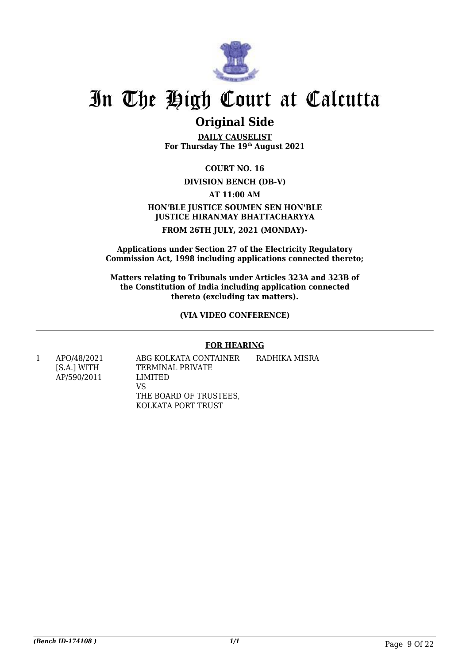

### **Original Side**

**DAILY CAUSELIST For Thursday The 19th August 2021**

#### **COURT NO. 16**

#### **DIVISION BENCH (DB-V)**

#### **AT 11:00 AM**

#### **HON'BLE JUSTICE SOUMEN SEN HON'BLE JUSTICE HIRANMAY BHATTACHARYYA FROM 26TH JULY, 2021 (MONDAY)-**

**Applications under Section 27 of the Electricity Regulatory Commission Act, 1998 including applications connected thereto;**

**Matters relating to Tribunals under Articles 323A and 323B of the Constitution of India including application connected thereto (excluding tax matters).**

#### **(VIA VIDEO CONFERENCE)**

#### **FOR HEARING**

1 APO/48/2021 ABG KOLKATA CONTAINER RADHIKA MISRA [S.A.] WITH TERMINAL PRIVATE AP/590/2011 LIMITED VS THE BOARD OF TRUSTEES, KOLKATA PORT TRUST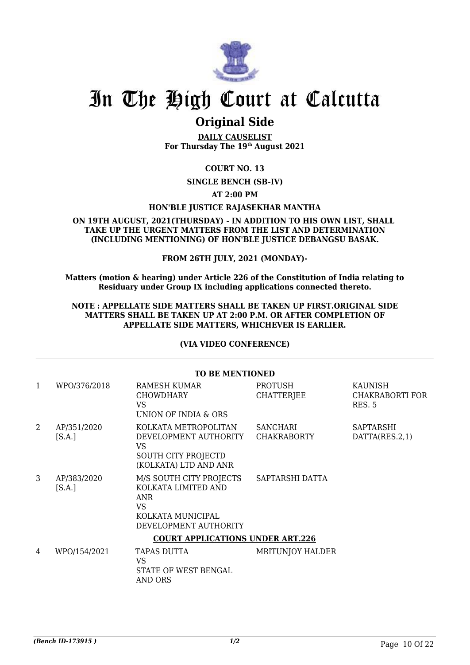

### **Original Side**

**DAILY CAUSELIST For Thursday The 19th August 2021**

#### **COURT NO. 13**

#### **SINGLE BENCH (SB-IV)**

#### **AT 2:00 PM**

#### **HON'BLE JUSTICE RAJASEKHAR MANTHA**

#### **ON 19TH AUGUST, 2021(THURSDAY) - IN ADDITION TO HIS OWN LIST, SHALL TAKE UP THE URGENT MATTERS FROM THE LIST AND DETERMINATION (INCLUDING MENTIONING) OF HON'BLE JUSTICE DEBANGSU BASAK.**

#### **FROM 26TH JULY, 2021 (MONDAY)-**

**Matters (motion & hearing) under Article 226 of the Constitution of India relating to Residuary under Group IX including applications connected thereto.**

#### **NOTE : APPELLATE SIDE MATTERS SHALL BE TAKEN UP FIRST.ORIGINAL SIDE MATTERS SHALL BE TAKEN UP AT 2:00 P.M. OR AFTER COMPLETION OF APPELLATE SIDE MATTERS, WHICHEVER IS EARLIER.**

#### **(VIA VIDEO CONFERENCE)**

|   | <b>TO BE MENTIONED</b>                  |                                                                                                                         |                                       |                                                    |  |  |
|---|-----------------------------------------|-------------------------------------------------------------------------------------------------------------------------|---------------------------------------|----------------------------------------------------|--|--|
| 1 | WPO/376/2018                            | <b>RAMESH KUMAR</b><br><b>CHOWDHARY</b><br><b>VS</b><br>UNION OF INDIA & ORS                                            | <b>PROTUSH</b><br><b>CHATTERJEE</b>   | <b>KAUNISH</b><br>CHAKRABORTI FOR<br><b>RES. 5</b> |  |  |
| 2 | AP/351/2020<br>[S.A.]                   | KOLKATA METROPOLITAN<br>DEVELOPMENT AUTHORITY<br>VS<br>SOUTH CITY PROJECTD<br>(KOLKATA) LTD AND ANR                     | <b>SANCHARI</b><br><b>CHAKRABORTY</b> | <b>SAPTARSHI</b><br>DATTA(RES.2,1)                 |  |  |
| 3 | AP/383/2020<br>[S.A.]                   | M/S SOUTH CITY PROJECTS<br>KOLKATA LIMITED AND<br><b>ANR</b><br><b>VS</b><br>KOLKATA MUNICIPAL<br>DEVELOPMENT AUTHORITY | SAPTARSHI DATTA                       |                                                    |  |  |
|   | <b>COURT APPLICATIONS UNDER ART.226</b> |                                                                                                                         |                                       |                                                    |  |  |
| 4 | WPO/154/2021                            | TAPAS DUTTA<br><b>VS</b><br>STATE OF WEST BENGAL<br>AND ORS                                                             | <b>MRITUNJOY HALDER</b>               |                                                    |  |  |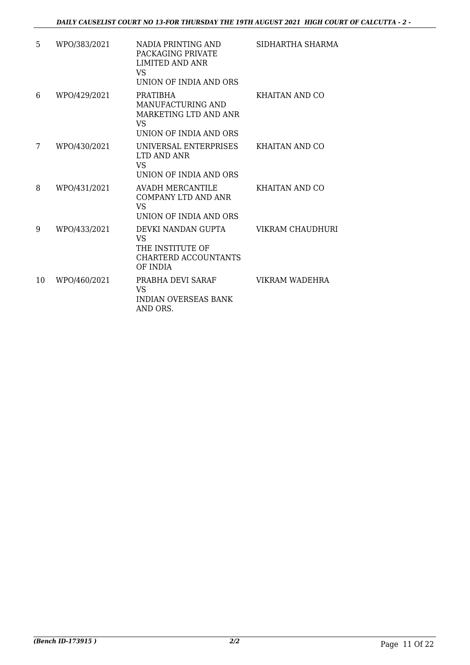*DAILY CAUSELIST COURT NO 13-FOR THURSDAY THE 19TH AUGUST 2021 HIGH COURT OF CALCUTTA - 2 -*

| 5  | WPO/383/2021 | NADIA PRINTING AND<br>PACKAGING PRIVATE<br><b>LIMITED AND ANR</b><br>VS.<br>UNION OF INDIA AND ORS | SIDHARTHA SHARMA |
|----|--------------|----------------------------------------------------------------------------------------------------|------------------|
| 6  | WPO/429/2021 | PRATIBHA<br>MANUFACTURING AND<br>MARKETING LTD AND ANR<br><b>VS</b><br>UNION OF INDIA AND ORS      | KHAITAN AND CO   |
| 7  | WPO/430/2021 | UNIVERSAL ENTERPRISES<br>LTD AND ANR<br>VS<br>UNION OF INDIA AND ORS                               | KHAITAN AND CO   |
| 8  | WPO/431/2021 | <b>AVADH MERCANTILE</b><br><b>COMPANY LTD AND ANR</b><br><b>VS</b><br>UNION OF INDIA AND ORS       | KHAITAN AND CO   |
| 9  | WPO/433/2021 | DEVKI NANDAN GUPTA<br><b>VS</b><br>THE INSTITUTE OF<br>CHARTERD ACCOUNTANTS<br>OF INDIA            | VIKRAM CHAUDHURI |
| 10 | WPO/460/2021 | PRABHA DEVI SARAF<br>VS<br><b>INDIAN OVERSEAS BANK</b><br>AND ORS.                                 | VIKRAM WADEHRA   |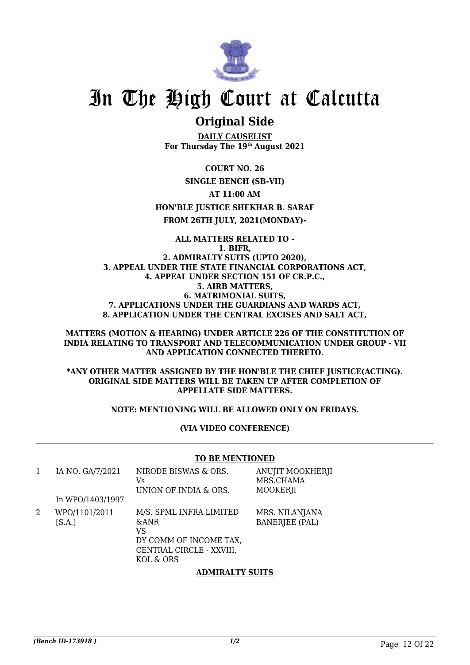

### **Original Side**

**DAILY CAUSELIST For Thursday The 19th August 2021**

**COURT NO. 26**

#### **SINGLE BENCH (SB-VII)**

**AT 11:00 AM**

#### **HON'BLE JUSTICE SHEKHAR B. SARAF**

**FROM 26TH JULY, 2021(MONDAY)-**

#### **ALL MATTERS RELATED TO - 1. BIFR, 2. ADMIRALTY SUITS (UPTO 2020), 3. APPEAL UNDER THE STATE FINANCIAL CORPORATIONS ACT, 4. APPEAL UNDER SECTION 151 OF CR.P.C., 5. AIRB MATTERS, 6. MATRIMONIAL SUITS, 7. APPLICATIONS UNDER THE GUARDIANS AND WARDS ACT, 8. APPLICATION UNDER THE CENTRAL EXCISES AND SALT ACT,**

#### **MATTERS (MOTION & HEARING) UNDER ARTICLE 226 OF THE CONSTITUTION OF INDIA RELATING TO TRANSPORT AND TELECOMMUNICATION UNDER GROUP - VII AND APPLICATION CONNECTED THERETO.**

#### **\*ANY OTHER MATTER ASSIGNED BY THE HON'BLE THE CHIEF JUSTICE(ACTING). ORIGINAL SIDE MATTERS WILL BE TAKEN UP AFTER COMPLETION OF APPELLATE SIDE MATTERS.**

#### **NOTE: MENTIONING WILL BE ALLOWED ONLY ON FRIDAYS.**

#### **(VIA VIDEO CONFERENCE)**

#### **TO BE MENTIONED**

| 1 | IA NO. GA/7/2021<br>In WPO/1403/1997 | NIRODE BISWAS & ORS.<br>Vs<br>UNION OF INDIA & ORS.                                                                 | ANUJIT MOOKHERJI<br>MRS.CHAMA<br><b>MOOKERJI</b> |
|---|--------------------------------------|---------------------------------------------------------------------------------------------------------------------|--------------------------------------------------|
| 2 | WPO/1101/2011<br>[S.A.]              | M/S. SPML INFRA LIMITED<br><b>&amp;ANR</b><br>VS<br>DY COMM OF INCOME TAX,<br>CENTRAL CIRCLE - XXVIII,<br>KOL & ORS | MRS. NILANJANA<br><b>BANERJEE (PAL)</b>          |

#### **ADMIRALTY SUITS**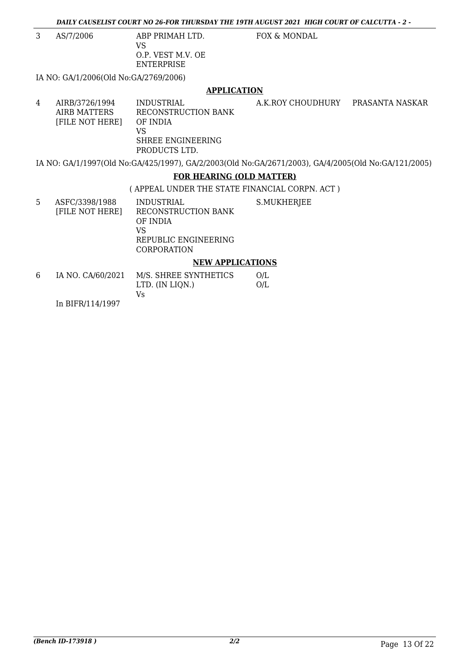3 AS/7/2006 ABP PRIMAH LTD.

VS O.P. VEST M.V. OE ENTERPRISE

FOX & MONDAL

IA NO: GA/1/2006(Old No:GA/2769/2006)

#### **APPLICATION**

4 AIRB/3726/1994 INDUSTRIAL A.K.ROY CHOUDHURY PRASANTA NASKAR<br>AIRB MATTERS RECONSTRUCTION BANK RECONSTRUCTION BANK<br>OF INDIA [FILE NOT HERE] VS SHREE ENGINEERING PRODUCTS LTD.

IA NO: GA/1/1997(Old No:GA/425/1997), GA/2/2003(Old No:GA/2671/2003), GA/4/2005(Old No:GA/121/2005)

#### **FOR HEARING (OLD MATTER)**

( APPEAL UNDER THE STATE FINANCIAL CORPN. ACT )

5 ASFC/3398/1988 [FILE NOT HERE] INDUSTRIAL RECONSTRUCTION BANK OF INDIA VS REPUBLIC ENGINEERING CORPORATION S.MUKHERJEE **NEW APPLICATIONS**

#### 6 IA NO. CA/60/2021 M/S. SHREE SYNTHETICS LTD. (IN LIQN.) Vs O/L O/L

In BIFR/114/1997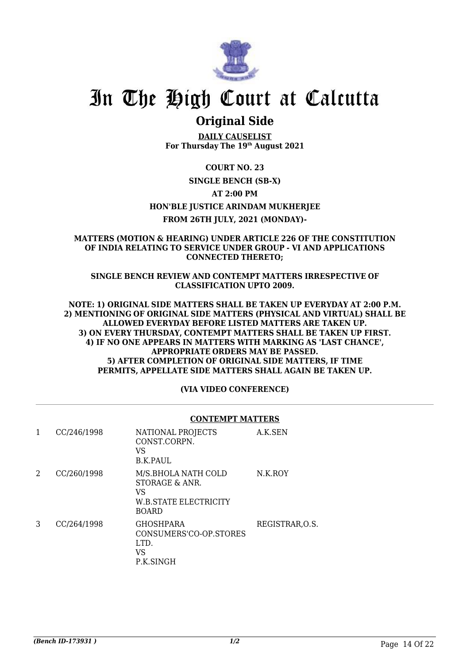

### **Original Side**

**DAILY CAUSELIST For Thursday The 19th August 2021**

#### **COURT NO. 23**

#### **SINGLE BENCH (SB-X)**

#### **AT 2:00 PM**

#### **HON'BLE JUSTICE ARINDAM MUKHERJEE**

#### **FROM 26TH JULY, 2021 (MONDAY)-**

#### **MATTERS (MOTION & HEARING) UNDER ARTICLE 226 OF THE CONSTITUTION OF INDIA RELATING TO SERVICE UNDER GROUP - VI AND APPLICATIONS CONNECTED THERETO;**

**SINGLE BENCH REVIEW AND CONTEMPT MATTERS IRRESPECTIVE OF CLASSIFICATION UPTO 2009.**

**NOTE: 1) ORIGINAL SIDE MATTERS SHALL BE TAKEN UP EVERYDAY AT 2:00 P.M. 2) MENTIONING OF ORIGINAL SIDE MATTERS (PHYSICAL AND VIRTUAL) SHALL BE ALLOWED EVERYDAY BEFORE LISTED MATTERS ARE TAKEN UP. 3) ON EVERY THURSDAY, CONTEMPT MATTERS SHALL BE TAKEN UP FIRST. 4) IF NO ONE APPEARS IN MATTERS WITH MARKING AS 'LAST CHANCE', APPROPRIATE ORDERS MAY BE PASSED. 5) AFTER COMPLETION OF ORIGINAL SIDE MATTERS, IF TIME PERMITS, APPELLATE SIDE MATTERS SHALL AGAIN BE TAKEN UP.**

#### **(VIA VIDEO CONFERENCE)**

#### **CONTEMPT MATTERS**

| 1 | CC/246/1998 | NATIONAL PROJECTS<br>CONST.CORPN.<br>VS<br><b>B.K.PAUL</b>                                  | A.K.SEN         |
|---|-------------|---------------------------------------------------------------------------------------------|-----------------|
| 2 | CC/260/1998 | M/S.BHOLA NATH COLD<br>STORAGE & ANR.<br>VS<br><b>W.B.STATE ELECTRICITY</b><br><b>BOARD</b> | N.K.ROY         |
| 3 | CC/264/1998 | <b>GHOSHPARA</b><br>CONSUMERS'CO-OP STORES<br>LTD.<br>VS<br>P.K.SINGH                       | REGISTRAR, O.S. |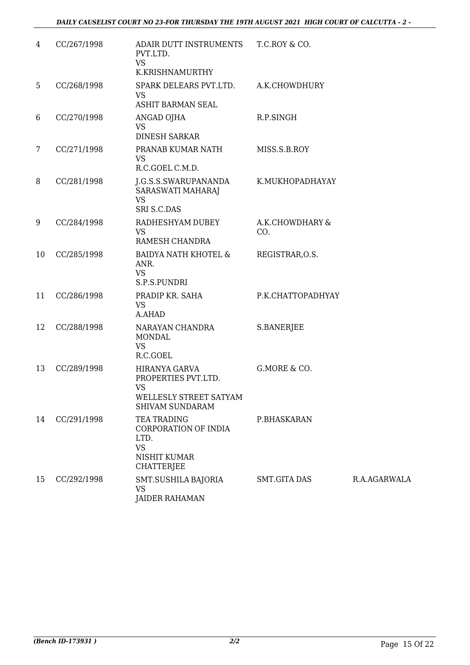| 4  | CC/267/1998 | ADAIR DUTT INSTRUMENTS<br>PVT.LTD.<br><b>VS</b><br>K.KRISHNAMURTHY                             | T.C.ROY & CO.          |              |
|----|-------------|------------------------------------------------------------------------------------------------|------------------------|--------------|
| 5  | CC/268/1998 | SPARK DELEARS PVT.LTD.<br><b>VS</b><br><b>ASHIT BARMAN SEAL</b>                                | A.K.CHOWDHURY          |              |
| 6  | CC/270/1998 | ANGAD OJHA<br><b>VS</b><br><b>DINESH SARKAR</b>                                                | R.P.SINGH              |              |
| 7  | CC/271/1998 | PRANAB KUMAR NATH<br><b>VS</b><br>R.C.GOEL C.M.D.                                              | MISS.S.B.ROY           |              |
| 8  | CC/281/1998 | J.G.S.S.SWARUPANANDA<br>SARASWATI MAHARAJ<br><b>VS</b><br>SRI S.C.DAS                          | K.MUKHOPADHAYAY        |              |
| 9  | CC/284/1998 | RADHESHYAM DUBEY<br><b>VS</b><br>RAMESH CHANDRA                                                | A.K.CHOWDHARY &<br>CO. |              |
| 10 | CC/285/1998 | <b>BAIDYA NATH KHOTEL &amp;</b><br>ANR.<br><b>VS</b><br>S.P.S.PUNDRI                           | REGISTRAR, O.S.        |              |
| 11 | CC/286/1998 | PRADIP KR. SAHA<br><b>VS</b><br>A.AHAD                                                         | P.K.CHATTOPADHYAY      |              |
| 12 | CC/288/1998 | NARAYAN CHANDRA<br><b>MONDAL</b><br><b>VS</b><br>R.C.GOEL                                      | S.BANERJEE             |              |
| 13 | CC/289/1998 | HIRANYA GARVA<br>PROPERTIES PVT.LTD.<br><b>VS</b><br>WELLESLY STREET SATYAM<br>SHIVAM SUNDARAM | G.MORE & CO.           |              |
| 14 | CC/291/1998 | TEA TRADING<br>CORPORATION OF INDIA<br>LTD.<br><b>VS</b><br>NISHIT KUMAR<br><b>CHATTERJEE</b>  | P.BHASKARAN            |              |
| 15 | CC/292/1998 | SMT.SUSHILA BAJORIA<br>VS<br><b>JAIDER RAHAMAN</b>                                             | <b>SMT.GITA DAS</b>    | R.A.AGARWALA |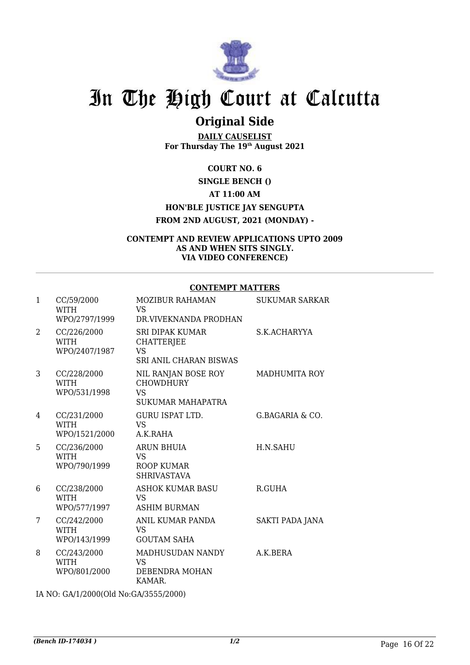

## **Original Side**

**DAILY CAUSELIST For Thursday The 19th August 2021**

### **COURT NO. 6 SINGLE BENCH () AT 11:00 AM HON'BLE JUSTICE JAY SENGUPTA FROM 2ND AUGUST, 2021 (MONDAY) -**

#### **CONTEMPT AND REVIEW APPLICATIONS UPTO 2009 AS AND WHEN SITS SINGLY. VIA VIDEO CONFERENCE)**

#### **CONTEMPT MATTERS**

| $\mathbf{1}$   | CC/59/2000<br>WITH<br>WPO/2797/1999         | <b>MOZIBUR RAHAMAN</b><br>VS.<br>DR.VIVEKNANDA PRODHAN                                    | <b>SUKUMAR SARKAR</b> |
|----------------|---------------------------------------------|-------------------------------------------------------------------------------------------|-----------------------|
| $\overline{2}$ | CC/226/2000<br>WITH<br>WPO/2407/1987        | <b>SRI DIPAK KUMAR</b><br><b>CHATTERJEE</b><br><b>VS</b><br><b>SRI ANIL CHARAN BISWAS</b> | S.K.ACHARYYA          |
| 3              | CC/228/2000<br><b>WITH</b><br>WPO/531/1998  | NIL RANJAN BOSE ROY<br><b>CHOWDHURY</b><br><b>VS</b><br><b>SUKUMAR MAHAPATRA</b>          | <b>MADHUMITA ROY</b>  |
| 4              | CC/231/2000<br><b>WITH</b><br>WPO/1521/2000 | GURU ISPAT LTD.<br><b>VS</b><br>A.K.RAHA                                                  | G.BAGARIA & CO.       |
| 5              | CC/236/2000<br><b>WITH</b><br>WPO/790/1999  | ARUN BHUIA<br><b>VS</b><br><b>ROOP KUMAR</b><br><b>SHRIVASTAVA</b>                        | H.N.SAHU              |
| 6              | CC/238/2000<br>WITH<br>WPO/577/1997         | ASHOK KUMAR BASU<br>VS.<br><b>ASHIM BURMAN</b>                                            | R.GUHA                |
| 7              | CC/242/2000<br>WITH<br>WPO/143/1999         | ANIL KUMAR PANDA<br>VS<br><b>GOUTAM SAHA</b>                                              | SAKTI PADA JANA       |
| 8              | CC/243/2000<br><b>WITH</b><br>WPO/801/2000  | MADHUSUDAN NANDY<br><b>VS</b><br>DEBENDRA MOHAN<br>KAMAR.                                 | A.K.BERA              |

IA NO: GA/1/2000(Old No:GA/3555/2000)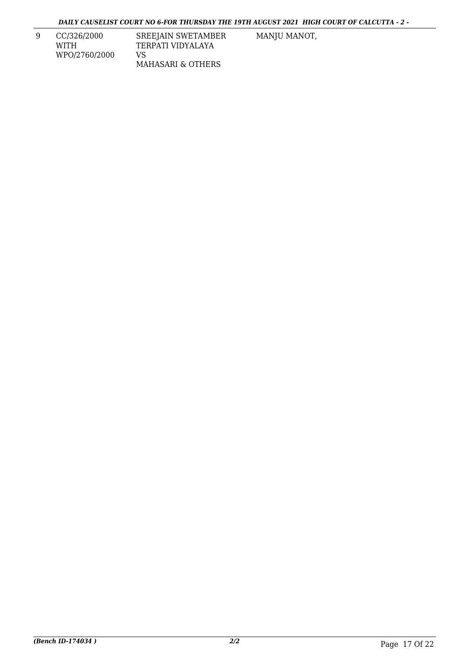9 CC/326/2000 WITH WPO/2760/2000 SREEJAIN SWETAMBER TERPATI VIDYALAYA VS MAHASARI & OTHERS

MANJU MANOT,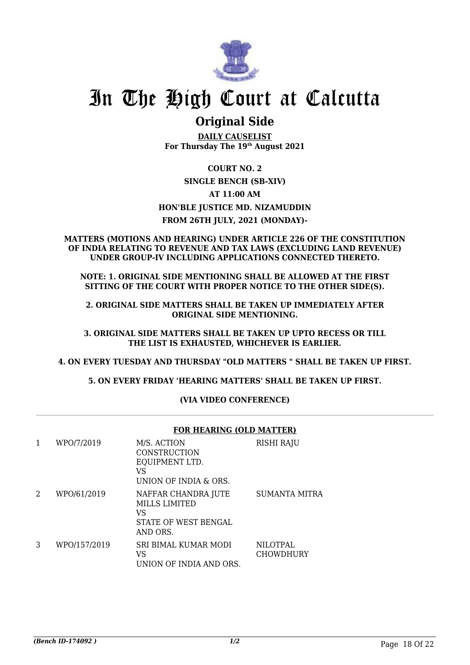

### **Original Side**

**DAILY CAUSELIST For Thursday The 19th August 2021**

### **COURT NO. 2 SINGLE BENCH (SB-XIV) AT 11:00 AM HON'BLE JUSTICE MD. NIZAMUDDIN FROM 26TH JULY, 2021 (MONDAY)-**

#### **MATTERS (MOTIONS AND HEARING) UNDER ARTICLE 226 OF THE CONSTITUTION OF INDIA RELATING TO REVENUE AND TAX LAWS (EXCLUDING LAND REVENUE) UNDER GROUP-IV INCLUDING APPLICATIONS CONNECTED THERETO.**

**NOTE: 1. ORIGINAL SIDE MENTIONING SHALL BE ALLOWED AT THE FIRST SITTING OF THE COURT WITH PROPER NOTICE TO THE OTHER SIDE(S).**

**2. ORIGINAL SIDE MATTERS SHALL BE TAKEN UP IMMEDIATELY AFTER ORIGINAL SIDE MENTIONING.**

**3. ORIGINAL SIDE MATTERS SHALL BE TAKEN UP UPTO RECESS OR TILL THE LIST IS EXHAUSTED, WHICHEVER IS EARLIER.**

**4. ON EVERY TUESDAY AND THURSDAY "OLD MATTERS " SHALL BE TAKEN UP FIRST.**

**5. ON EVERY FRIDAY 'HEARING MATTERS' SHALL BE TAKEN UP FIRST.** 

#### **(VIA VIDEO CONFERENCE)**

|   |              | <b>FOR HEARING (OLD MATTER)</b>                                                       |                                     |  |
|---|--------------|---------------------------------------------------------------------------------------|-------------------------------------|--|
| 1 | WPO/7/2019   | M/S. ACTION<br>CONSTRUCTION<br>EQUIPMENT LTD.<br>VS<br>UNION OF INDIA & ORS.          | RISHI RAJU                          |  |
| 2 | WPO/61/2019  | NAFFAR CHANDRA JUTE<br><b>MILLS LIMITED</b><br>VS<br>STATE OF WEST BENGAL<br>AND ORS. | <b>SUMANTA MITRA</b>                |  |
| 3 | WPO/157/2019 | <b>SRI BIMAL KUMAR MODI</b><br>VS<br>UNION OF INDIA AND ORS.                          | <b>NILOTPAL</b><br><b>CHOWDHURY</b> |  |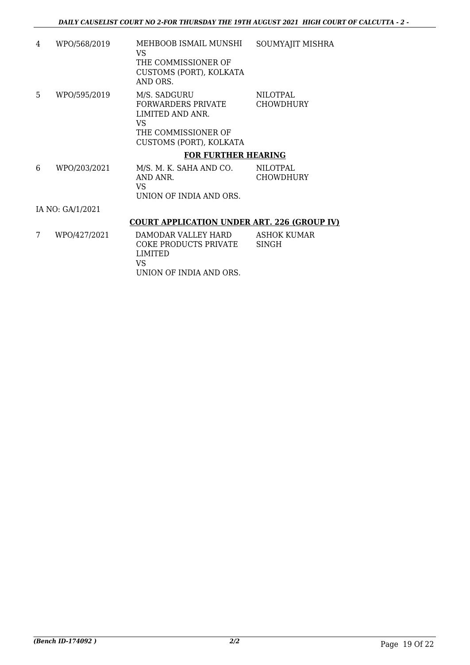- 4 WPO/568/2019 MEHBOOB ISMAIL MUNSHI VS THE COMMISSIONER OF CUSTOMS (PORT), KOLKATA AND ORS. SOUMYAJIT MISHRA 5 WPO/595/2019 M/S. SADGURU FORWARDERS PRIVATE LIMITED AND ANR. VS THE COMMISSIONER OF CUSTOMS (PORT), KOLKATA NILOTPAL CHOWDHURY **FOR FURTHER HEARING**
- 6 WPO/203/2021 M/S. M. K. SAHA AND CO. AND ANR. VS UNION OF INDIA AND ORS. NILOTPAL CHOWDHURY

IA NO: GA/1/2021

#### **COURT APPLICATION UNDER ART. 226 (GROUP IV)**

7 WPO/427/2021 DAMODAR VALLEY HARD COKE PRODUCTS PRIVATE LIMITED VS UNION OF INDIA AND ORS. ASHOK KUMAR SINGH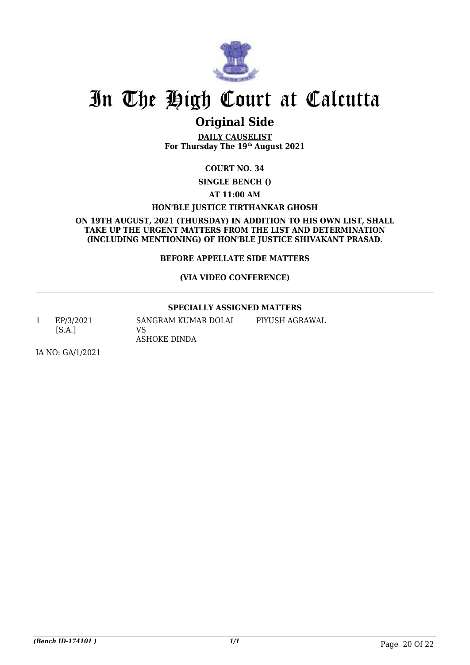

### **Original Side**

**DAILY CAUSELIST For Thursday The 19th August 2021**

#### **COURT NO. 34**

**SINGLE BENCH ()** 

**AT 11:00 AM**

#### **HON'BLE JUSTICE TIRTHANKAR GHOSH**

**ON 19TH AUGUST, 2021 (THURSDAY) IN ADDITION TO HIS OWN LIST, SHALL TAKE UP THE URGENT MATTERS FROM THE LIST AND DETERMINATION (INCLUDING MENTIONING) OF HON'BLE JUSTICE SHIVAKANT PRASAD.**

#### **BEFORE APPELLATE SIDE MATTERS**

#### **(VIA VIDEO CONFERENCE)**

#### **SPECIALLY ASSIGNED MATTERS**

1 EP/3/2021 [S.A.]

SANGRAM KUMAR DOLAI VS ASHOKE DINDA PIYUSH AGRAWAL

IA NO: GA/1/2021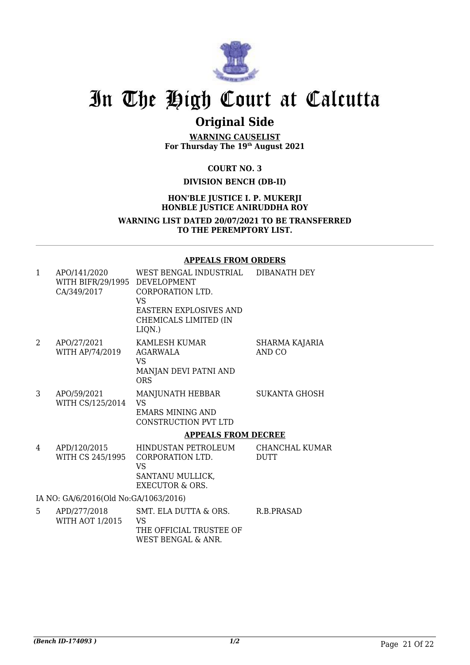

## **Original Side**

**WARNING CAUSELIST For Thursday The 19th August 2021**

**COURT NO. 3**

#### **DIVISION BENCH (DB-II)**

#### **HON'BLE JUSTICE I. P. MUKERJI HONBLE JUSTICE ANIRUDDHA ROY**

**WARNING LIST DATED 20/07/2021 TO BE TRANSFERRED TO THE PEREMPTORY LIST.**

#### **APPEALS FROM ORDERS**

| $\mathbf{1}$ | APO/141/2020<br>WITH BIFR/29/1995 DEVELOPMENT<br>CA/349/2017 | WEST BENGAL INDUSTRIAL<br>CORPORATION LTD.<br>VS<br><b>EASTERN EXPLOSIVES AND</b><br>CHEMICALS LIMITED (IN<br>LIQN.) | DIBANATH DEY                  |
|--------------|--------------------------------------------------------------|----------------------------------------------------------------------------------------------------------------------|-------------------------------|
| 2            | APO/27/2021<br>WITH AP/74/2019                               | KAMLESH KUMAR<br><b>AGARWALA</b><br>VS.<br>MANJAN DEVI PATNI AND<br><b>ORS</b>                                       | SHARMA KAJARIA<br>AND CO      |
| 3            | APO/59/2021<br>WITH CS/125/2014                              | MANJUNATH HEBBAR<br><b>VS</b><br><b>EMARS MINING AND</b><br><b>CONSTRUCTION PVT LTD</b>                              | <b>SUKANTA GHOSH</b>          |
|              |                                                              | <b>APPEALS FROM DECREE</b>                                                                                           |                               |
| 4            | APD/120/2015<br>WITH CS 245/1995                             | HINDUSTAN PETROLEUM<br>CORPORATION LTD.<br><b>VS</b><br>SANTANU MULLICK,<br><b>EXECUTOR &amp; ORS.</b>               | CHANCHAL KUMAR<br><b>DUTT</b> |
|              | IA NO: GA/6/2016(Old No:GA/1063/2016)                        |                                                                                                                      |                               |
| 5.           | APD/277/2018<br><b>WITH AOT 1/2015</b>                       | SMT. ELA DUTTA & ORS.<br>VS<br>THE OFFICIAL TRUSTEE OF                                                               | R.B.PRASAD                    |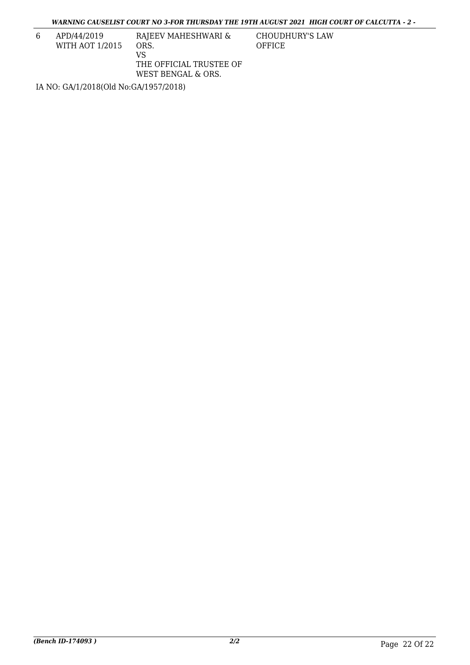*WARNING CAUSELIST COURT NO 3-FOR THURSDAY THE 19TH AUGUST 2021 HIGH COURT OF CALCUTTA - 2 -*

6 APD/44/2019 WITH AOT 1/2015

RAJEEV MAHESHWARI & ORS. VS THE OFFICIAL TRUSTEE OF WEST BENGAL & ORS.

CHOUDHURY'S LAW OFFICE

IA NO: GA/1/2018(Old No:GA/1957/2018)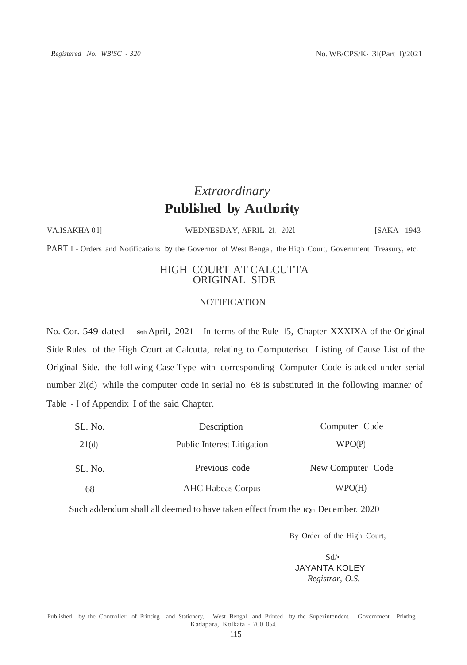## *Extraordinary* **Published by Authority**

VA.ISAKHA 0 I] WEDNESDAY, APRIL 21, 2021 [SAKA 1943]

PART I - Orders and Notifications by the Governor of West Bengal, the High Court, Government Treasury, etc.

#### HIGH COURT AT CALCUTTA ORIGINAL SIDE

#### **NOTIFICATION**

No. Cor. 549-dated sth April, 2021—In terms of the Rule 15, Chapter XXXIXA of the Original Side Rules of the High Court at Calcutta, relating to Computerised Listing of Cause List of the Original Side. the follwing Case Type with corresponding Computer Code is added under serial number 2l(d) while the computer code in serial no. 68 is substituted in the following manner of Table - I of Appendix I of the said Chapter.

| SL. No. | Description                       | Computer Code     |
|---------|-----------------------------------|-------------------|
| 21(d)   | <b>Public Interest Litigation</b> | WPO(P)            |
| SL. No. | Previous code                     | New Computer Code |
| 68      | <b>AHC Habeas Corpus</b>          | WPO(H)            |

Such addendum shall all deemed to have taken effect from the 10th December. 2020

By Order of the High Court,

Sd/• JAYANTA KOLEY *Registrar, O.S.*

Published by the Controller of Printing and Stationery, West Bengal and Printed by the Superintendent, Government Printing, Kadapara, Kolkata - 700 054.